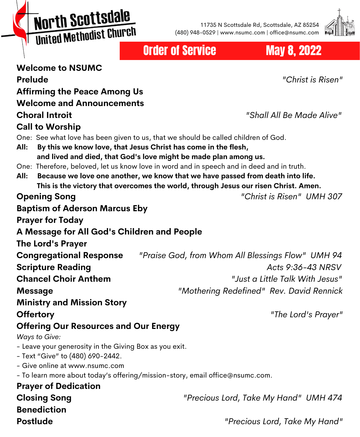North Scottsdale United Methodist Church

11735 N Scottsdale Rd, Scottsdale, AZ 85254 (480) 948-0529 | www.nsumc.com | office@nsumc.com



Order of Service May 8, 2022

#### **Welcome to NSUMC Prelude** *"Christ is Risen"* **Affirming the Peace Among Us Welcome and Announcements Choral Introit** *"Shall All Be Made Alive"* **Call to Worship** One: See what love has been given to us, that we should be called children of God. **All: By this we know love, that Jesus Christ has come in the flesh, and lived and died, that God's love might be made plan among us.** One: Therefore, beloved, let us know love in word and in speech and in deed and in truth. **All: Because we love one another, we know that we have passed from death into life. This is the victory that overcomes the world, through Jesus our risen Christ. Amen. Opening Song** *"Christ is Risen" UMH 307* **Baptism of Aderson Marcus Eby Prayer for Today A Message for All God's Children and People The Lord's Prayer Congregational Response** *"Praise God, from Whom All Blessings Flow" UMH 94* **Scripture Reading** *Acts 9:36-43 NRSV* **Chancel Choir Anthem** *"Just a Little Talk With Jesus"* **Message** *"Mothering Redefined" Rev. David Rennick* **Ministry and Mission Story Offertory** *"The Lord's Prayer"* **Offering Our Resources and Our Energy** *Ways to Give:* - Leave your generosity in the Giving Box as you exit. - Text "Give" to (480) 690-2442. - Give online at www.nsumc.com - To learn more about today's offering/mission-story, email office@nsumc.com. **Prayer of Dedication Closing Song** *"Precious Lord, Take My Hand" UMH 474* **Benediction**

**Postlude** *"Precious Lord, Take My Hand"*